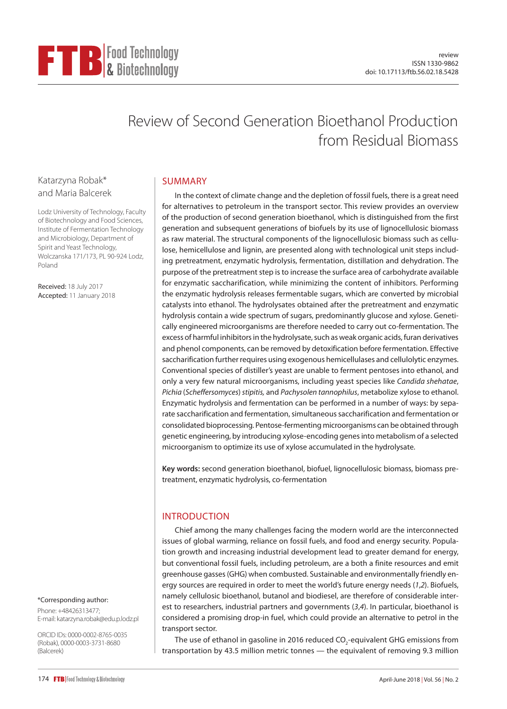# Review of Second Generation Bioethanol Production from Residual Biomass

## Katarzyna Robak\* and Maria Balcerek

Lodz University of Technology, Faculty of Biotechnology and Food Sciences, Institute of Fermentation Technology and Microbiology, Department of Spirit and Yeast Technology, Wolczanska 171/173, PL 90-924 Lodz, Poland

**FTB** Food Technology

Received: 18 July 2017 Accepted: 11 January 2018

#### \*Corresponding author:

Phone: +48426313477; E-mail: [katarzyna.robak@edu.p.lodz.pl](mailto:katarzyna.robak@edu.p.lodz.pl)

ORCID IDs: 0000-0002-8765-0035 (Robak), 0000-0003-3731-8680 (Balcerek)

## SUMMARY

In the context of climate change and the depletion of fossil fuels, there is a great need for alternatives to petroleum in the transport sector. This review provides an overview of the production of second generation bioethanol, which is distinguished from the first generation and subsequent generations of biofuels by its use of lignocellulosic biomass as raw material. The structural components of the lignocellulosic biomass such as cellulose, hemicellulose and lignin, are presented along with technological unit steps including pretreatment, enzymatic hydrolysis, fermentation, distillation and dehydration. The purpose of the pretreatment step is to increase the surface area of carbohydrate available for enzymatic saccharification, while minimizing the content of inhibitors. Performing the enzymatic hydrolysis releases fermentable sugars, which are converted by microbial catalysts into ethanol. The hydrolysates obtained after the pretreatment and enzymatic hydrolysis contain a wide spectrum of sugars, predominantly glucose and xylose. Genetically engineered microorganisms are therefore needed to carry out co-fermentation. The excess of harmful inhibitors in the hydrolysate, such as weak organic acids, furan derivatives and phenol components, can be removed by detoxification before fermentation. Effective saccharification further requires using exogenous hemicellulases and cellulolytic enzymes. Conventional species of distiller's yeast are unable to ferment pentoses into ethanol, and only a very few natural microorganisms, including yeast species like *Candida shehatae*, *Pichia* (*Scheffersomyces*) *stipitis,* and *Pachysolen tannophilus*, metabolize xylose to ethanol. Enzymatic hydrolysis and fermentation can be performed in a number of ways: by separate saccharification and fermentation, simultaneous saccharification and fermentation or consolidated bioprocessing. Pentose-fermenting microorganisms can be obtained through genetic engineering, by introducing xylose-encoding genes into metabolism of a selected microorganism to optimize its use of xylose accumulated in the hydrolysate.

**Key words:** second generation bioethanol, biofuel, lignocellulosic biomass, biomass pretreatment, enzymatic hydrolysis, co-fermentation

## INTRODUCTION

Chief among the many challenges facing the modern world are the interconnected issues of global warming, reliance on fossil fuels, and food and energy security. Population growth and increasing industrial development lead to greater demand for energy, but conventional fossil fuels, including petroleum, are a both a finite resources and emit greenhouse gasses (GHG) when combusted. Sustainable and environmentally friendly energy sources are required in order to meet the world's future energy needs (*1*,*2*). Biofuels, namely cellulosic bioethanol, butanol and biodiesel, are therefore of considerable interest to researchers, industrial partners and governments (*3*,*4*). In particular, bioethanol is considered a promising drop-in fuel, which could provide an alternative to petrol in the transport sector.

The use of ethanol in gasoline in 2016 reduced CO $_2$ -equivalent GHG emissions from transportation by 43.5 million metric tonnes — the equivalent of removing 9.3 million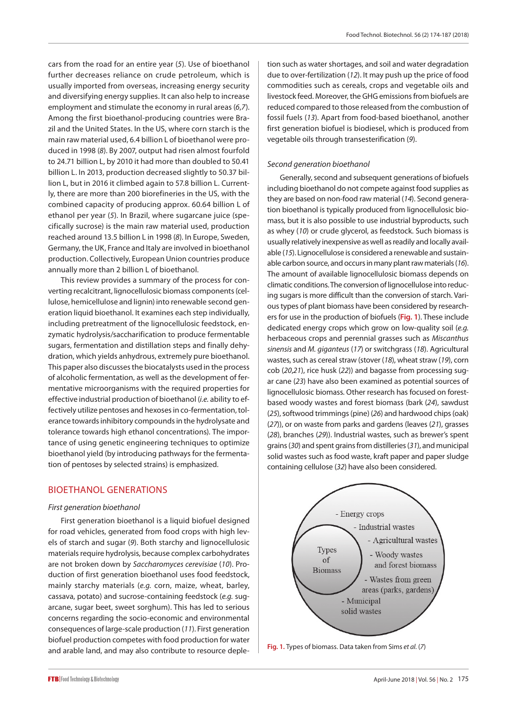cars from the road for an entire year (*5*). Use of bioethanol further decreases reliance on crude petroleum, which is usually imported from overseas, increasing energy security and diversifying energy supplies. It can also help to increase employment and stimulate the economy in rural areas (*6*,*7*). Among the first bioethanol-producing countries were Brazil and the United States. In the US, where corn starch is the main raw material used, 6.4 billion L of bioethanol were produced in 1998 (*8*). By 2007, output had risen almost fourfold to 24.71 billion L, by 2010 it had more than doubled to 50.41 billion L. In 2013, production decreased slightly to 50.37 billion L, but in 2016 it climbed again to 57.8 billion L. Currently, there are more than 200 biorefineries in the US, with the combined capacity of producing approx. 60.64 billion L of ethanol per year (*5*). In Brazil, where sugarcane juice (specifically sucrose) is the main raw material used, production reached around 13.5 billion L in 1998 (*8*). In Europe, Sweden, Germany, the UK, France and Italy are involved in bioethanol production. Collectively, European Union countries produce annually more than 2 billion L of bioethanol.

This review provides a summary of the process for converting recalcitrant, lignocellulosic biomass components (cellulose, hemicellulose and lignin) into renewable second generation liquid bioethanol. It examines each step individually, including pretreatment of the lignocellulosic feedstock, enzymatic hydrolysis/saccharification to produce fermentable sugars, fermentation and distillation steps and finally dehydration, which yields anhydrous, extremely pure bioethanol. This paper also discusses the biocatalysts used in the process of alcoholic fermentation, as well as the development of fermentative microorganisms with the required properties for effective industrial production of bioethanol (*i.e.* ability to effectively utilize pentoses and hexoses in co-fermentation, tolerance towards inhibitory compounds in the hydrolysate and tolerance towards high ethanol concentrations). The importance of using genetic engineering techniques to optimize bioethanol yield (by introducing pathways for the fermentation of pentoses by selected strains) is emphasized.

## BIOETHANOL GENERATIONS

#### *First generation bioethanol*

First generation bioethanol is a liquid biofuel designed for road vehicles, generated from food crops with high levels of starch and sugar (*9*). Both starchy and lignocellulosic materials require hydrolysis, because complex carbohydrates are not broken down by *Saccharomyces cerevisiae* (*10*). Production of first generation bioethanol uses food feedstock, mainly starchy materials (*e.g.* corn, maize, wheat, barley, cassava, potato) and sucrose-containing feedstock (*e.g.* sugarcane, sugar beet, sweet sorghum). This has led to serious concerns regarding the socio-economic and environmental consequences of large-scale production (*11*). First generation biofuel production competes with food production for water and arable land, and may also contribute to resource depletion such as water shortages, and soil and water degradation due to over-fertilization (*12*). It may push up the price of food commodities such as cereals, crops and vegetable oils and livestock feed. Moreover, the GHG emissions from biofuels are reduced compared to those released from the combustion of fossil fuels (*13*). Apart from food-based bioethanol, another first generation biofuel is biodiesel, which is produced from vegetable oils through transesterification (*9*).

#### *Second generation bioethanol*

Generally, second and subsequent generations of biofuels including bioethanol do not compete against food supplies as they are based on non-food raw material (*14*). Second generation bioethanol is typically produced from lignocellulosic biomass, but it is also possible to use industrial byproducts, such as whey (*10*) or crude glycerol, as feedstock. Such biomass is usually relatively inexpensive as well as readily and locally available (*15*). Lignocellulose is considered a renewable and sustainable carbon source, and occurs in many plant raw materials (*16*). The amount of available lignocellulosic biomass depends on climatic conditions. The conversion of lignocellulose into reducing sugars is more difficult than the conversion of starch. Various types of plant biomass have been considered by researchers for use in the production of biofuels (**Fig. 1**). These include dedicated energy crops which grow on low-quality soil (*e.g.* herbaceous crops and perennial grasses such as *Miscanthus sinensis* and *M. giganteus* (*17*) or switchgrass (*18*). Agricultural wastes, such as cereal straw (stover (*18*), wheat straw (*19*), corn cob (*20*,*21*), rice husk (*22*)) and bagasse from processing sugar cane (*23*) have also been examined as potential sources of lignocellulosic biomass. Other research has focused on forestbased woody wastes and forest biomass (bark (*24*), sawdust (*25*), softwood trimmings (pine) (*26*) and hardwood chips (oak) (*27*)), or on waste from parks and gardens (leaves (*21*), grasses (*28*), branches (*29*)). Industrial wastes, such as brewer's spent grains (*30*) and spent grains from distilleries (*31*), and municipal solid wastes such as food waste, kraft paper and paper sludge containing cellulose (*32*) have also been considered.



**Fig. 1.** Types of biomass. Data taken from Sims *et al.* (*7*)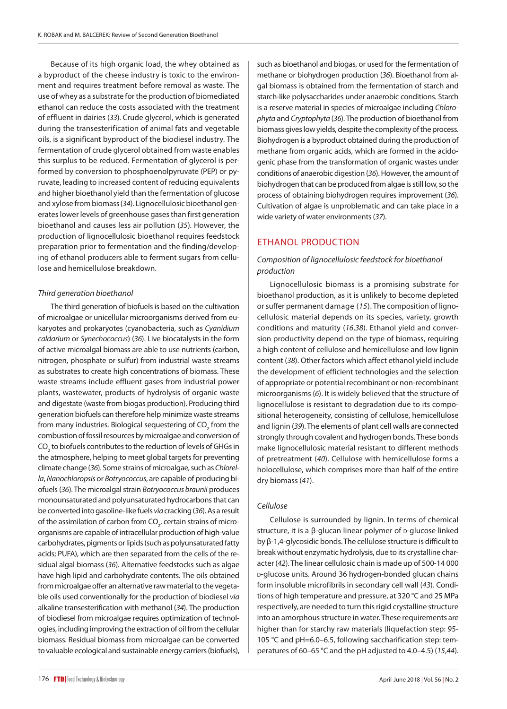Because of its high organic load, the whey obtained as a byproduct of the cheese industry is toxic to the environment and requires treatment before removal as waste. The use of whey as a substrate for the production of biomediated ethanol can reduce the costs associated with the treatment of effluent in dairies (*33*). Crude glycerol, which is generated during the transesterification of animal fats and vegetable oils, is a significant byproduct of the biodiesel industry. The fermentation of crude glycerol obtained from waste enables this surplus to be reduced. Fermentation of glycerol is performed by conversion to phosphoenolpyruvate (PEP) or pyruvate, leading to increased content of reducing equivalents and higher bioethanol yield than the fermentation of glucose and xylose from biomass(*34*). Lignocellulosic bioethanol generates lower levels of greenhouse gases than first generation bioethanol and causes less air pollution (*35*). However, the production of lignocellulosic bioethanol requires feedstock preparation prior to fermentation and the finding/developing of ethanol producers able to ferment sugars from cellulose and hemicellulose breakdown.

#### *Third generation bioethanol*

The third generation of biofuels is based on the cultivation of microalgae or unicellular microorganisms derived from eukaryotes and prokaryotes (cyanobacteria, such as *Cyanidium caldarium* or *Synechococcus*) (*36*). Live biocatalysts in the form of active microalgal biomass are able to use nutrients (carbon, nitrogen, phosphate or sulfur) from industrial waste streams as substrates to create high concentrations of biomass. These waste streams include effluent gases from industrial power plants, wastewater, products of hydrolysis of organic waste and digestate (waste from biogas production). Producing third generation biofuels can therefore help minimize waste streams from many industries. Biological sequestering of CO $_{_2}$  from the combustion of fossil resources by microalgae and conversion of CO $_2$  to biofuels contributes to the reduction of levels of GHGs in the atmosphere, helping to meet global targets for preventing climate change (*36*). Some strains of microalgae, such as *Chlorella*, *Nanochloropsis* or *Botryococcus*, are capable of producing biofuels (*36*). The microalgal strain *Botryococcus braunii* produces monounsaturated and polyunsaturated hydrocarbons that can be converted into gasoline-like fuels *via* cracking (*36*). As a result of the assimilation of carbon from CO $_{\textrm{\tiny $2^\prime$}}$  certain strains of microorganisms are capable of intracellular production of high-value carbohydrates, pigments or lipids (such as polyunsaturated fatty acids; PUFA), which are then separated from the cells of the residual algal biomass (*36*). Alternative feedstocks such as algae have high lipid and carbohydrate contents. The oils obtained from microalgae offer an alternative raw material to the vegetable oils used conventionally for the production of biodiesel *via* alkaline transesterification with methanol (*34*). The production of biodiesel from microalgae requires optimization of technologies, including improving the extraction of oil from the cellular biomass. Residual biomass from microalgae can be converted to valuable ecological and sustainable energy carriers (biofuels),

such as bioethanol and biogas, or used for the fermentation of methane or biohydrogen production (*36*). Bioethanol from algal biomass is obtained from the fermentation of starch and starch-like polysaccharides under anaerobic conditions. Starch is a reserve material in species of microalgae including *Chlorophyta* and *Cryptophyta* (*36*). The production of bioethanol from biomass gives low yields, despite the complexity of the process. Biohydrogen is a byproduct obtained during the production of methane from organic acids, which are formed in the acidogenic phase from the transformation of organic wastes under conditions of anaerobic digestion (*36*). However, the amount of biohydrogen that can be produced from algae is still low, so the process of obtaining biohydrogen requires improvement (*36*). Cultivation of algae is unproblematic and can take place in a wide variety of water environments (*37*).

## ETHANOL PRODUCTION

#### *Composition of lignocellulosic feedstock for bioethanol production*

Lignocellulosic biomass is a promising substrate for bioethanol production, as it is unlikely to become depleted or suffer permanent damage (*15*). The composition of lignocellulosic material depends on its species, variety, growth conditions and maturity (*16*,*38*). Ethanol yield and conversion productivity depend on the type of biomass, requiring a high content of cellulose and hemicellulose and low lignin content (*38*). Other factors which affect ethanol yield include the development of efficient technologies and the selection of appropriate or potential recombinant or non-recombinant microorganisms (*6*). It is widely believed that the structure of lignocellulose is resistant to degradation due to its compositional heterogeneity, consisting of cellulose, hemicellulose and lignin (*39*). The elements of plant cell walls are connected strongly through covalent and hydrogen bonds. These bonds make lignocellulosic material resistant to different methods of pretreatment (*40*). Cellulose with hemicellulose forms a holocellulose, which comprises more than half of the entire dry biomass (*41*).

#### *Cellulose*

Cellulose is surrounded by lignin. In terms of chemical structure, it is a  $\beta$ -glucan linear polymer of  $\beta$ -glucose linked by β-1,4-glycosidic bonds. The cellulose structure is difficult to break without enzymatic hydrolysis, due to its crystalline character (*42*). The linear cellulosic chain is made up of 500-14 000 d-glucose units. Around 36 hydrogen-bonded glucan chains form insoluble microfibrils in secondary cell wall (*43*)*.* Conditions of high temperature and pressure, at 320 °C and 25 MPa respectively, are needed to turn this rigid crystalline structure into an amorphous structure in water. These requirements are higher than for starchy raw materials (liquefaction step: 95- 105 °C and pH=6.0–6.5, following saccharification step: temperatures of 60–65 °C and the pH adjusted to 4.0–4.5) (*15*,*44*).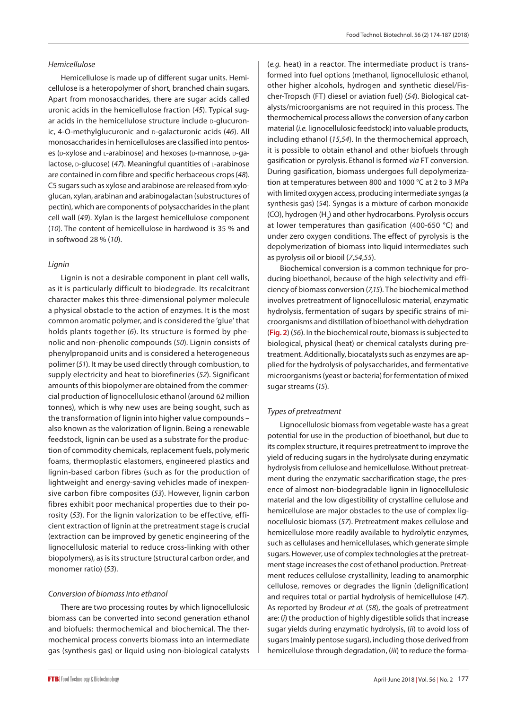#### *Hemicellulose*

Hemicellulose is made up of different sugar units. Hemicellulose is a heteropolymer of short, branched chain sugars. Apart from monosaccharides, there are sugar acids called uronic acids in the hemicellulose fraction (*45*). Typical sugar acids in the hemicellulose structure include D-glucuronic, 4-O-methylglucuronic and p-galacturonic acids (46). All monosaccharides in hemicelluloses are classified into pentoses (p-xylose and L-arabinose) and hexoses (p-mannose, p-qalactose, p-glucose) (47). Meaningful quantities of L-arabinose are contained in corn fibre and specific herbaceous crops (*48*). C5 sugars such as xylose and arabinose are released from xyloglucan, xylan, arabinan and arabinogalactan (substructures of pectin), which are components of polysaccharides in the plant cell wall (*49*). Xylan is the largest hemicellulose component (*10*). The content of hemicellulose in hardwood is 35 % and in softwood 28 % (*10*).

#### *Lignin*

Lignin is not a desirable component in plant cell walls, as it is particularly difficult to biodegrade. Its recalcitrant character makes this three-dimensional polymer molecule a physical obstacle to the action of enzymes. It is the most common aromatic polymer, and is considered the 'glue' that holds plants together (*6*). Its structure is formed by phenolic and non-phenolic compounds (*50*). Lignin consists of phenylpropanoid units and is considered a heterogeneous polimer (*51*). It may be used directly through combustion, to supply electricity and heat to biorefineries (*52*). Significant amounts of this biopolymer are obtained from the commercial production of lignocellulosic ethanol (around 62 million tonnes), which is why new uses are being sought, such as the transformation of lignin into higher value compounds – also known as the valorization of lignin. Being a renewable feedstock, lignin can be used as a substrate for the production of commodity chemicals, replacement fuels, polymeric foams, thermoplastic elastomers, engineered plastics and lignin-based carbon fibres (such as for the production of lightweight and energy-saving vehicles made of inexpensive carbon fibre composites (*53*). However, lignin carbon fibres exhibit poor mechanical properties due to their porosity (*53*). For the lignin valorization to be effective, efficient extraction of lignin at the pretreatment stage is crucial (extraction can be improved by genetic engineering of the lignocellulosic material to reduce cross-linking with other biopolymers), as is its structure (structural carbon order, and monomer ratio) (*53*).

#### *Conversion of biomass into ethanol*

There are two processing routes by which lignocellulosic biomass can be converted into second generation ethanol and biofuels: thermochemical and biochemical. The thermochemical process converts biomass into an intermediate gas (synthesis gas) or liquid using non-biological catalysts (*e.g.* heat) in a reactor. The intermediate product is transformed into fuel options (methanol, lignocellulosic ethanol, other higher alcohols, hydrogen and synthetic diesel/Fischer-Tropsch (FT) diesel or aviation fuel) (*54*). Biological catalysts/microorganisms are not required in this process. The thermochemical process allows the conversion of any carbon material (*i.e.* lignocellulosic feedstock) into valuable products, including ethanol (*15*,*54*). In the thermochemical approach, it is possible to obtain ethanol and other biofuels through gasification or pyrolysis. Ethanol is formed *via* FT conversion. During gasification, biomass undergoes full depolymerization at temperatures between 800 and 1000 °C at 2 to 3 MPa with limited oxygen access, producing intermediate syngas (a synthesis gas) (*54*). Syngas is a mixture of carbon monoxide (CO), hydrogen  $(H_2)$  and other hydrocarbons. Pyrolysis occurs at lower temperatures than gasification (400-650 °C) and under zero oxygen conditions. The effect of pyrolysis is the depolymerization of biomass into liquid intermediates such as pyrolysis oil or biooil (*7*,*54*,*55*).

Biochemical conversion is a common technique for producing bioethanol, because of the high selectivity and efficiency of biomass conversion (*7*,*15*). The biochemical method involves pretreatment of lignocellulosic material, enzymatic hydrolysis, fermentation of sugars by specific strains of microorganisms and distillation of bioethanol with dehydration (**Fig. 2**) (*56*). In the biochemical route, biomass is subjected to biological, physical (heat) or chemical catalysts during pretreatment. Additionally, biocatalysts such as enzymes are applied for the hydrolysis of polysaccharides, and fermentative microorganisms (yeast or bacteria) for fermentation of mixed sugar streams (*15*).

#### *Types of pretreatment*

Lignocellulosic biomass from vegetable waste has a great potential for use in the production of bioethanol, but due to its complex structure, it requires pretreatment to improve the yield of reducing sugars in the hydrolysate during enzymatic hydrolysis from cellulose and hemicellulose. Without pretreatment during the enzymatic saccharification stage, the presence of almost non-biodegradable lignin in lignocellulosic material and the low digestibility of crystalline cellulose and hemicellulose are major obstacles to the use of complex lignocellulosic biomass (*57*). Pretreatment makes cellulose and hemicellulose more readily available to hydrolytic enzymes, such as cellulases and hemicellulases, which generate simple sugars. However, use of complex technologies at the pretreatment stage increases the cost of ethanol production. Pretreatment reduces cellulose crystallinity, leading to anamorphic cellulose, removes or degrades the lignin (delignification) and requires total or partial hydrolysis of hemicellulose (*47*). As reported by Brodeur *et al.* (*58*), the goals of pretreatment are: (*i*) the production of highly digestible solids that increase sugar yields during enzymatic hydrolysis, (*ii*) to avoid loss of sugars (mainly pentose sugars), including those derived from hemicellulose through degradation, (*iii*) to reduce the forma-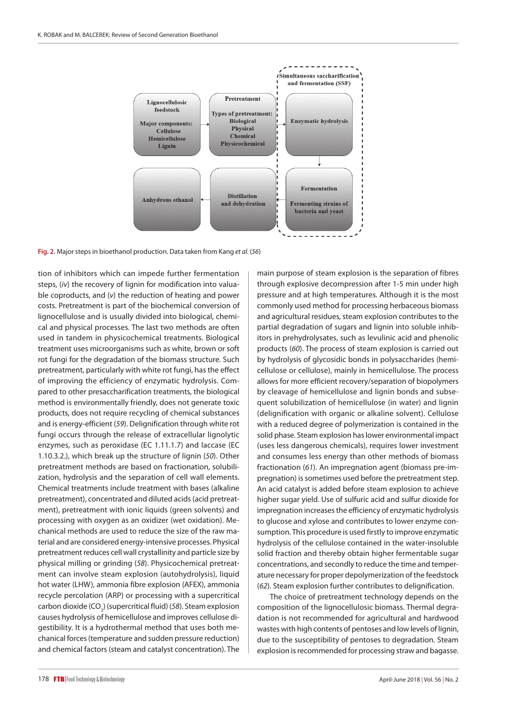

**Fig. 2.** Major steps in bioethanol production. Data taken from Kang *et al.* (*56*)

tion of inhibitors which can impede further fermentation steps, (*iv*) the recovery of lignin for modification into valuable coproducts, and (*v*) the reduction of heating and power costs. Pretreatment is part of the biochemical conversion of lignocellulose and is usually divided into biological, chemical and physical processes. The last two methods are often used in tandem in physicochemical treatments. Biological treatment uses microorganisms such as white, brown or soft rot fungi for the degradation of the biomass structure. Such pretreatment, particularly with white rot fungi, has the effect of improving the efficiency of enzymatic hydrolysis. Compared to other presaccharification treatments, the biological method is environmentally friendly, does not generate toxic products, does not require recycling of chemical substances and is energy-efficient (*59*). Delignification through white rot fungi occurs through the release of extracellular lignolytic enzymes, such as peroxidase (EC 1.11.1.7) and laccase (EC 1.10.3.2.), which break up the structure of lignin (*50*). Other pretreatment methods are based on fractionation, solubilization, hydrolysis and the separation of cell wall elements. Chemical treatments include treatment with bases (alkaline pretreatment), concentrated and diluted acids (acid pretreatment), pretreatment with ionic liquids (green solvents) and processing with oxygen as an oxidizer (wet oxidation). Mechanical methods are used to reduce the size of the raw material and are considered energy-intensive processes. Physical pretreatment reduces cell wall crystallinity and particle size by physical milling or grinding (*58*). Physicochemical pretreatment can involve steam explosion (autohydrolysis), liquid hot water (LHW), ammonia fibre explosion (AFEX), ammonia recycle percolation (ARP) or processing with a supercritical carbon dioxide (CO<sub>2</sub>) (supercritical fluid) (58). Steam explosion causes hydrolysis of hemicellulose and improves cellulose digestibility. It is a hydrothermal method that uses both mechanical forces (temperature and sudden pressure reduction) and chemical factors (steam and catalyst concentration). The

main purpose of steam explosion is the separation of fibres through explosive decompression after 1-5 min under high pressure and at high temperatures. Although it is the most commonly used method for processing herbaceous biomass and agricultural residues, steam explosion contributes to the partial degradation of sugars and lignin into soluble inhibitors in prehydrolysates, such as levulinic acid and phenolic products (*60*). The process of steam explosion is carried out by hydrolysis of glycosidic bonds in polysaccharides (hemicellulose or cellulose), mainly in hemicellulose. The process allows for more efficient recovery/separation of biopolymers by cleavage of hemicellulose and lignin bonds and subsequent solubilization of hemicellulose (in water) and lignin (delignification with organic or alkaline solvent). Cellulose with a reduced degree of polymerization is contained in the solid phase. Steam explosion has lower environmental impact (uses less dangerous chemicals), requires lower investment and consumes less energy than other methods of biomass fractionation (*61*). An impregnation agent (biomass pre-impregnation) is sometimes used before the pretreatment step. An acid catalyst is added before steam explosion to achieve higher sugar yield. Use of sulfuric acid and sulfur dioxide for impregnation increases the efficiency of enzymatic hydrolysis to glucose and xylose and contributes to lower enzyme consumption. This procedure is used firstly to improve enzymatic hydrolysis of the cellulose contained in the water-insoluble solid fraction and thereby obtain higher fermentable sugar concentrations, and secondly to reduce the time and temperature necessary for proper depolymerization of the feedstock (*62*). Steam explosion further contributes to delignification. The choice of pretreatment technology depends on the

composition of the lignocellulosic biomass. Thermal degradation is not recommended for agricultural and hardwood wastes with high contents of pentoses and low levels of lignin, due to the susceptibility of pentoses to degradation. Steam explosion is recommended for processing straw and bagasse.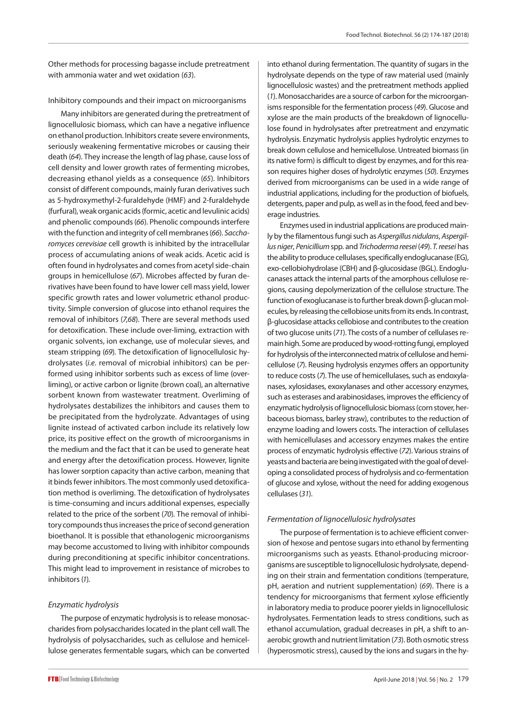Other methods for processing bagasse include pretreatment with ammonia water and wet oxidation (*63*).

#### Inhibitory compounds and their impact on microorganisms

Many inhibitors are generated during the pretreatment of lignocellulosic biomass, which can have a negative influence on ethanol production. Inhibitors create severe environments, seriously weakening fermentative microbes or causing their death (*64*). They increase the length of lag phase, cause loss of cell density and lower growth rates of fermenting microbes, decreasing ethanol yields as a consequence (*65*). Inhibitors consist of different compounds, mainly furan derivatives such as 5-hydroxymethyl-2-furaldehyde (HMF) and 2-furaldehyde (furfural), weak organic acids (formic, acetic and levulinic acids) and phenolic compounds (*66*). Phenolic compounds interfere with the function and integrity of cell membranes (*66*). *Saccharomyces cerevisiae* cell growth is inhibited by the intracellular process of accumulating anions of weak acids. Acetic acid is often found in hydrolysates and comes from acetyl side-chain groups in hemicellulose (*67*). Microbes affected by furan derivatives have been found to have lower cell mass yield, lower specific growth rates and lower volumetric ethanol productivity. Simple conversion of glucose into ethanol requires the removal of inhibitors (*7*,*68*). There are several methods used for detoxification. These include over-liming, extraction with organic solvents, ion exchange, use of molecular sieves, and steam stripping (*69*). The detoxification of lignocellulosic hydrolysates (*i.e.* removal of microbial inhibitors) can be performed using inhibitor sorbents such as excess of lime (overliming), or active carbon or lignite (brown coal), an alternative sorbent known from wastewater treatment. Overliming of hydrolysates destabilizes the inhibitors and causes them to be precipitated from the hydrolyzate. Advantages of using lignite instead of activated carbon include its relatively low price, its positive effect on the growth of microorganisms in the medium and the fact that it can be used to generate heat and energy after the detoxification process. However, lignite has lower sorption capacity than active carbon, meaning that it binds fewer inhibitors. The most commonly used detoxification method is overliming. The detoxification of hydrolysates is time-consuming and incurs additional expenses, especially related to the price of the sorbent (*70*). The removal of inhibitory compounds thus increases the price of second generation bioethanol. It is possible that ethanologenic microorganisms may become accustomed to living with inhibitor compounds during preconditioning at specific inhibitor concentrations. This might lead to improvement in resistance of microbes to inhibitors (*1*)*.*

#### *Enzymatic hydrolysis*

The purpose of enzymatic hydrolysis is to release monosaccharides from polysaccharides located in the plant cell wall. The hydrolysis of polysaccharides, such as cellulose and hemicellulose generates fermentable sugars, which can be converted into ethanol during fermentation. The quantity of sugars in the hydrolysate depends on the type of raw material used (mainly lignocellulosic wastes) and the pretreatment methods applied (*1*). Monosaccharides are a source of carbon for the microorganisms responsible for the fermentation process (*49*). Glucose and xylose are the main products of the breakdown of lignocellulose found in hydrolysates after pretreatment and enzymatic hydrolysis. Enzymatic hydrolysis applies hydrolytic enzymes to break down cellulose and hemicellulose. Untreated biomass (in its native form) is difficult to digest by enzymes, and for this reason requires higher doses of hydrolytic enzymes (*50*). Enzymes derived from microorganisms can be used in a wide range of industrial applications, including for the production of biofuels, detergents, paper and pulp, as well as in the food, feed and beverage industries.

Enzymes used in industrial applications are produced mainly by the filamentous fungi such as *Aspergillus nidulans*, *Aspergillus niger*, *Penicillium* spp. and *Trichoderma reesei* (*49*). *T. reesei* has the ability to produce cellulases, specifically endoglucanase (EG), exo-cellobiohydrolase (CBH) and β-glucosidase (BGL). Endoglucanases attack the internal parts of the amorphous cellulose regions, causing depolymerization of the cellulose structure. The function of exoglucanase is to further break down β-glucan molecules, by releasing the cellobiose units from its ends. In contrast, β-glucosidase attacks cellobiose and contributes to the creation of two glucose units (*71*). The costs of a number of cellulases remain high. Some are produced by wood-rotting fungi, employed for hydrolysis of the interconnected matrix of cellulose and hemicellulose (*7*). Reusing hydrolysis enzymes offers an opportunity to reduce costs (*7*). The use of hemicellulases, such as endoxylanases, xylosidases, exoxylanases and other accessory enzymes, such as esterases and arabinosidases, improves the efficiency of enzymatic hydrolysis of lignocellulosic biomass (corn stover, herbaceous biomass, barley straw), contributes to the reduction of enzyme loading and lowers costs. The interaction of cellulases with hemicellulases and accessory enzymes makes the entire process of enzymatic hydrolysis effective (*72*). Various strains of yeasts and bacteria are being investigated with the goal of developing a consolidated process of hydrolysis and co-fermentation of glucose and xylose, without the need for adding exogenous cellulases (*31*).

#### *Fermentation of lignocellulosic hydrolysates*

The purpose of fermentation is to achieve efficient conversion of hexose and pentose sugars into ethanol by fermenting microorganisms such as yeasts. Ethanol-producing microorganisms are susceptible to lignocellulosic hydrolysate, depending on their strain and fermentation conditions (temperature, pH, aeration and nutrient supplementation) (*69*). There is a tendency for microorganisms that ferment xylose efficiently in laboratory media to produce poorer yields in lignocellulosic hydrolysates. Fermentation leads to stress conditions, such as ethanol accumulation, gradual decreases in pH, a shift to anaerobic growth and nutrient limitation (*73*). Both osmotic stress (hyperosmotic stress), caused by the ions and sugars in the hy-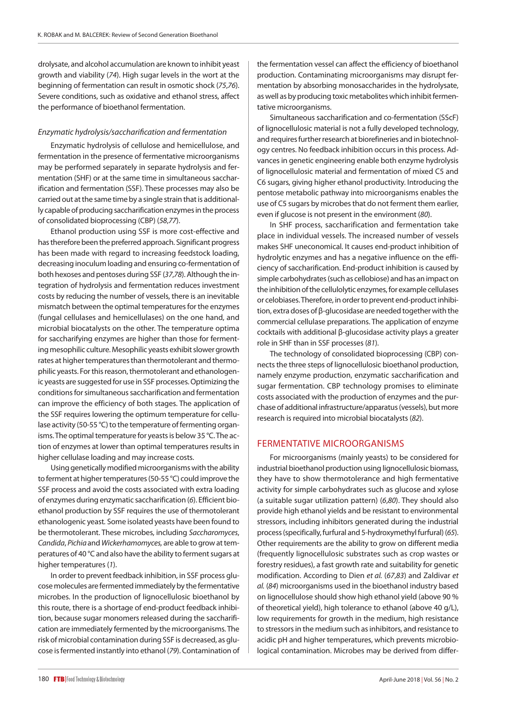drolysate, and alcohol accumulation are known to inhibit yeast growth and viability (*74*). High sugar levels in the wort at the beginning of fermentation can result in osmotic shock (*75*,*76*). Severe conditions, such as oxidative and ethanol stress, affect the performance of bioethanol fermentation.

#### *Enzymatic hydrolysis/saccharification and fermentation*

Enzymatic hydrolysis of cellulose and hemicellulose, and fermentation in the presence of fermentative microorganisms may be performed separately in separate hydrolysis and fermentation (SHF) or at the same time in simultaneous saccharification and fermentation (SSF). These processes may also be carried out at the same time by a single strain that is additionally capable of producing saccharification enzymes in the process of consolidated bioprocessing (CBP) (*58*,*77*).

Ethanol production using SSF is more cost-effective and has therefore been the preferred approach. Significant progress has been made with regard to increasing feedstock loading, decreasing inoculum loading and ensuring co-fermentation of both hexoses and pentoses during SSF (*37*,*78*). Although the integration of hydrolysis and fermentation reduces investment costs by reducing the number of vessels, there is an inevitable mismatch between the optimal temperatures for the enzymes (fungal cellulases and hemicellulases) on the one hand, and microbial biocatalysts on the other. The temperature optima for saccharifying enzymes are higher than those for fermenting mesophilic culture. Mesophilic yeasts exhibit slower growth rates at higher temperatures than thermotolerant and thermophilic yeasts. For this reason, thermotolerant and ethanologenic yeasts are suggested for use in SSF processes. Optimizing the conditions for simultaneous saccharification and fermentation can improve the efficiency of both stages. The application of the SSF requires lowering the optimum temperature for cellulase activity (50-55 °C) to the temperature of fermenting organisms. The optimal temperature for yeasts is below 35 °C. The action of enzymes at lower than optimal temperatures results in higher cellulase loading and may increase costs.

Using genetically modified microorganisms with the ability to ferment at higher temperatures (50-55 °C) could improve the SSF process and avoid the costs associated with extra loading of enzymes during enzymatic saccharification (*6*). Efficient bioethanol production by SSF requires the use of thermotolerant ethanologenic yeast*.* Some isolated yeasts have been found to be thermotolerant. These microbes, including *Saccharomyces*, *Candida*, *Pichia* and *Wickerhamomyces,* are able to grow at temperatures of 40 °C and also have the ability to ferment sugars at higher temperatures (*1*).

In order to prevent feedback inhibition, in SSF process glucose molecules are fermented immediately by the fermentative microbes. In the production of lignocellulosic bioethanol by this route, there is a shortage of end-product feedback inhibition, because sugar monomers released during the saccharification are immediately fermented by the microorganisms. The risk of microbial contamination during SSF is decreased, as glucose is fermented instantly into ethanol (*79*). Contamination of the fermentation vessel can affect the efficiency of bioethanol production. Contaminating microorganisms may disrupt fermentation by absorbing monosaccharides in the hydrolysate, as well as by producing toxic metabolites which inhibit fermentative microorganisms.

Simultaneous saccharification and co-fermentation (SScF) of lignocellulosic material is not a fully developed technology, and requires further research at biorefineries and in biotechnology centres. No feedback inhibition occurs in this process. Advances in genetic engineering enable both enzyme hydrolysis of lignocellulosic material and fermentation of mixed C5 and C6 sugars, giving higher ethanol productivity. Introducing the pentose metabolic pathway into microorganisms enables the use of C5 sugars by microbes that do not ferment them earlier, even if glucose is not present in the environment (*80*).

In SHF process, saccharification and fermentation take place in individual vessels. The increased number of vessels makes SHF uneconomical. It causes end-product inhibition of hydrolytic enzymes and has a negative influence on the efficiency of saccharification. End-product inhibition is caused by simple carbohydrates (such as cellobiose) and has an impact on the inhibition of the cellulolytic enzymes, for example cellulases or celobiases. Therefore, in order to prevent end-product inhibition, extra doses of β-glucosidase are needed together with the commercial cellulase preparations. The application of enzyme cocktails with additional β-glucosidase activity plays a greater role in SHF than in SSF processes (*81*).

The technology of consolidated bioprocessing (CBP) connects the three steps of lignocellulosic bioethanol production, namely enzyme production, enzymatic saccharification and sugar fermentation. CBP technology promises to eliminate costs associated with the production of enzymes and the purchase of additional infrastructure/apparatus (vessels), but more research is required into microbial biocatalysts (*82*).

### FERMENTATIVE MICROORGANISMS

For microorganisms (mainly yeasts) to be considered for industrial bioethanol production using lignocellulosic biomass, they have to show thermotolerance and high fermentative activity for simple carbohydrates such as glucose and xylose (a suitable sugar utilization pattern) (*6*,*80*). They should also provide high ethanol yields and be resistant to environmental stressors, including inhibitors generated during the industrial process (specifically, furfural and 5-hydroxymethyl furfural) (*65*). Other requirements are the ability to grow on different media (frequently lignocellulosic substrates such as crop wastes or forestry residues), a fast growth rate and suitability for genetic modification. According to Dien *et al.* (*67*,*83*) and Zaldivar *et al.* (*84*) microorganisms used in the bioethanol industry based on lignocellulose should show high ethanol yield (above 90 % of theoretical yield), high tolerance to ethanol (above 40 g/L), low requirements for growth in the medium, high resistance to stressors in the medium such as inhibitors, and resistance to acidic pH and higher temperatures, which prevents microbiological contamination. Microbes may be derived from differ-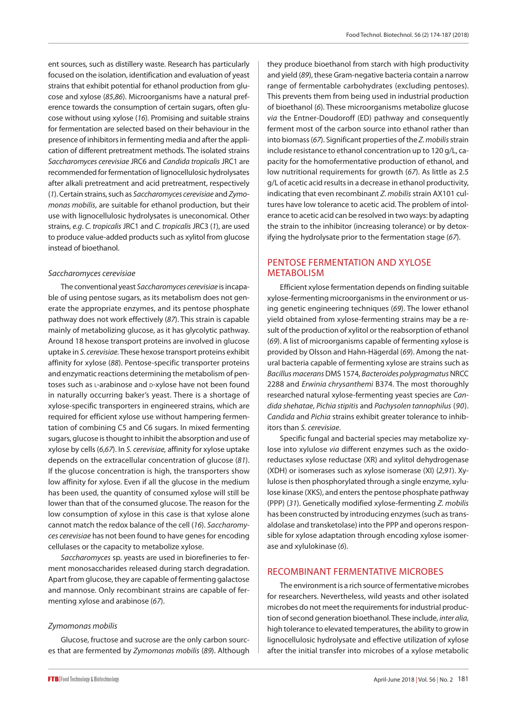ent sources, such as distillery waste. Research has particularly focused on the isolation, identification and evaluation of yeast strains that exhibit potential for ethanol production from glucose and xylose (*85*,*86*). Microorganisms have a natural preference towards the consumption of certain sugars, often glucose without using xylose (*16*). Promising and suitable strains for fermentation are selected based on their behaviour in the presence of inhibitors in fermenting media and after the application of different pretreatment methods. The isolated strains *Saccharomyces cerevisiae* JRC6 and *Candida tropicalis* JRC1 are recommended for fermentation of lignocellulosic hydrolysates after alkali pretreatment and acid pretreatment, respectively (*1*). Certain strains, such as *Saccharomyces cerevisiae* and *Zymomonas mobilis*, are suitable for ethanol production, but their use with lignocellulosic hydrolysates is uneconomical. Other strains, *e.g*. *C. tropicalis* JRC1 and *C. tropicalis* JRC3 (*1*), are used to produce value-added products such as xylitol from glucose instead of bioethanol.

#### *Saccharomyces cerevisiae*

The conventional yeast *Saccharomyces cerevisiae* is incapable of using pentose sugars, as its metabolism does not generate the appropriate enzymes, and its pentose phosphate pathway does not work effectively (*87*). This strain is capable mainly of metabolizing glucose, as it has glycolytic pathway. Around 18 hexose transport proteins are involved in glucose uptake in *S. cerevisiae.* These hexose transport proteins exhibit affinity for xylose (*88*). Pentose-specific transporter proteins and enzymatic reactions determining the metabolism of pentoses such as L-arabinose and D-xylose have not been found in naturally occurring baker's yeast. There is a shortage of xylose-specific transporters in engineered strains, which are required for efficient xylose use without hampering fermentation of combining C5 and C6 sugars. In mixed fermenting sugars, glucose is thought to inhibit the absorption and use of xylose by cells (*6*,*67*). In *S. cerevisiae,* affinity for xylose uptake depends on the extracellular concentration of glucose (*81*). If the glucose concentration is high, the transporters show low affinity for xylose. Even if all the glucose in the medium has been used, the quantity of consumed xylose will still be lower than that of the consumed glucose. The reason for the low consumption of xylose in this case is that xylose alone cannot match the redox balance of the cell (*16*). *Saccharomyces cerevisiae* has not been found to have genes for encoding cellulases or the capacity to metabolize xylose.

*Saccharomyces* sp. yeasts are used in biorefineries to ferment monosaccharides released during starch degradation. Apart from glucose, they are capable of fermenting galactose and mannose. Only recombinant strains are capable of fermenting xylose and arabinose (*67*).

#### *Zymomonas mobilis*

Glucose, fructose and sucrose are the only carbon sources that are fermented by *Zymomonas mobilis* (*89*). Although they produce bioethanol from starch with high productivity and yield (*89*), these Gram-negative bacteria contain a narrow range of fermentable carbohydrates (excluding pentoses). This prevents them from being used in industrial production of bioethanol (*6*). These microorganisms metabolize glucose *via* the Entner-Doudoroff (ED) pathway and consequently ferment most of the carbon source into ethanol rather than into biomass (*67*). Significant properties of the *Z. mobilis* strain include resistance to ethanol concentration up to 120 g/L, capacity for the homofermentative production of ethanol, and low nutritional requirements for growth (*67*). As little as 2.5 g/L of acetic acid results in a decrease in ethanol productivity, indicating that even recombinant *Z. mobilis* strain AX101 cultures have low tolerance to acetic acid. The problem of intolerance to acetic acid can be resolved in two ways: by adapting the strain to the inhibitor (increasing tolerance) or by detoxifying the hydrolysate prior to the fermentation stage (*67*).

## PENTOSE FERMENTATION AND XYLOSE METABOLISM

Efficient xylose fermentation depends on finding suitable xylose-fermenting microorganisms in the environment or using genetic engineering techniques (*69*). The lower ethanol yield obtained from xylose-fermenting strains may be a result of the production of xylitol or the reabsorption of ethanol (*69*). A list of microorganisms capable of fermenting xylose is provided by Olsson and Hahn-Hägerdal (*69*). Among the natural bacteria capable of fermenting xylose are strains such as *Bacillus macerans* DMS 1574, *Bacteroides polypragmatus* NRCC 2288 and *Erwinia chrysanthemi* B374. The most thoroughly researched natural xylose-fermenting yeast species are *Candida shehatae*, *Pichia stipitis* and *Pachysolen tannophilus* (*90*). *Candida* and *Pichia* strains exhibit greater tolerance to inhibitors than *S. cerevisiae*.

Specific fungal and bacterial species may metabolize xylose into xylulose *via* different enzymes such as the oxidoreductases xylose reductase (XR) and xylitol dehydrogenase (XDH) or isomerases such as xylose isomerase (XI) (*2*,*91*). Xylulose is then phosphorylated through a single enzyme, xylulose kinase (XKS), and enters the pentose phosphate pathway (PPP) (*31*). Genetically modified xylose-fermenting *Z. mobilis* has been constructed by introducing enzymes (such as transaldolase and transketolase) into the PPP and operons responsible for xylose adaptation through encoding xylose isomerase and xylulokinase (*6*).

#### RECOMBINANT FERMENTATIVE MICROBES

The environment is a rich source of fermentative microbes for researchers. Nevertheless, wild yeasts and other isolated microbes do not meet the requirements for industrial production of second generation bioethanol. These include, *inter alia*, high tolerance to elevated temperatures, the ability to grow in lignocellulosic hydrolysate and effective utilization of xylose after the initial transfer into microbes of a xylose metabolic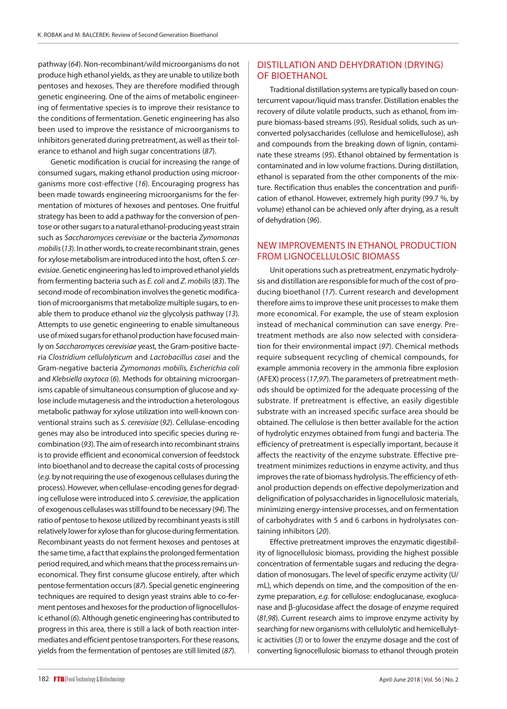pathway (*64*). Non-recombinant/wild microorganisms do not produce high ethanol yields, as they are unable to utilize both pentoses and hexoses. They are therefore modified through genetic engineering. One of the aims of metabolic engineering of fermentative species is to improve their resistance to the conditions of fermentation. Genetic engineering has also been used to improve the resistance of microorganisms to inhibitors generated during pretreatment, as well as their tolerance to ethanol and high sugar concentrations (*87*).

Genetic modification is crucial for increasing the range of consumed sugars, making ethanol production using microorganisms more cost-effective (*16*). Encouraging progress has been made towards engineering microorganisms for the fermentation of mixtures of hexoses and pentoses. One fruitful strategy has been to add a pathway for the conversion of pentose or other sugars to a natural ethanol-producing yeast strain such as *Saccharomyces cerevisiae* or the bacteria *Zymomonas mobilis* (*13*). In other words, to create recombinant strain, genes for xylose metabolism are introduced into the host, often *S. cerevisiae*. Genetic engineering has led to improved ethanol yields from fermenting bacteria such as *E. coli* and *Z. mobilis* (*83*). The second mode of recombination involves the genetic modification of microorganisms that metabolize multiple sugars, to enable them to produce ethanol *via* the glycolysis pathway (*13*). Attempts to use genetic engineering to enable simultaneous use of mixed sugars for ethanol production have focused mainly on *Saccharomyces cerevisiae* yeast*,* the Gram-positive bacteria *Clostridium cellulolyticum* and *Lactobacillus casei* and the Gram-negative bacteria *Zymomonas mobilis, Escherichia coli*  and *Klebsiella oxytoca* (*6*). Methods for obtaining microorganisms capable of simultaneous consumption of glucose and xylose include mutagenesis and the introduction a heterologous metabolic pathway for xylose utilization into well-known conventional strains such as *S. cerevisiae* (*92*). Cellulase-encoding genes may also be introduced into specific species during recombination (*93*). The aim of research into recombinant strains is to provide efficient and economical conversion of feedstock into bioethanol and to decrease the capital costs of processing (*e.g.* by not requiring the use of exogenous cellulases during the process). However, when cellulase-encoding genes for degrading cellulose were introduced into *S. cerevisiae*, the application of exogenous cellulases was still found to be necessary (*94*). The ratio of pentose to hexose utilized by recombinant yeasts is still relatively lower for xylose than for glucose during fermentation. Recombinant yeasts do not ferment hexoses and pentoses at the same time, a fact that explains the prolonged fermentation period required, and which means that the process remains uneconomical. They first consume glucose entirely, after which pentose fermentation occurs (*87*). Special genetic engineering techniques are required to design yeast strains able to co-ferment pentoses and hexoses for the production of lignocellulosic ethanol (*6*). Although genetic engineering has contributed to progress in this area, there is still a lack of both reaction intermediates and efficient pentose transporters. For these reasons, yields from the fermentation of pentoses are still limited (*87*).

## DISTILLATION AND DEHYDRATION (DRYING) OF BIOETHANOL

Traditional distillation systems are typically based on countercurrent vapour/liquid mass transfer. Distillation enables the recovery of dilute volatile products, such as ethanol, from impure biomass-based streams (*95*). Residual solids, such as unconverted polysaccharides (cellulose and hemicellulose), ash and compounds from the breaking down of lignin, contaminate these streams (*95*). Ethanol obtained by fermentation is contaminated and in low volume fractions. During distillation, ethanol is separated from the other components of the mixture. Rectification thus enables the concentration and purification of ethanol. However, extremely high purity (99.7 %, by volume) ethanol can be achieved only after drying, as a result of dehydration (*96*).

## NEW IMPROVEMENTS IN ETHANOL PRODUCTION FROM LIGNOCELLULOSIC BIOMASS

Unit operations such as pretreatment, enzymatic hydrolysis and distillation are responsible for much of the cost of producing bioethanol (*17*). Current research and development therefore aims to improve these unit processes to make them more economical. For example, the use of steam explosion instead of mechanical comminution can save energy. Pretreatment methods are also now selected with consideration for their environmental impact (*97*). Chemical methods require subsequent recycling of chemical compounds, for example ammonia recovery in the ammonia fibre explosion (AFEX) process (*17*,*97*). The parameters of pretreatment methods should be optimized for the adequate processing of the substrate. If pretreatment is effective, an easily digestible substrate with an increased specific surface area should be obtained. The cellulose is then better available for the action of hydrolytic enzymes obtained from fungi and bacteria. The efficiency of pretreatment is especially important, because it affects the reactivity of the enzyme substrate. Effective pretreatment minimizes reductions in enzyme activity, and thus improves the rate of biomass hydrolysis. The efficiency of ethanol production depends on effective depolymerization and delignification of polysaccharides in lignocellulosic materials, minimizing energy-intensive processes, and on fermentation of carbohydrates with 5 and 6 carbons in hydrolysates containing inhibitors (*20*).

Effective pretreatment improves the enzymatic digestibility of lignocellulosic biomass, providing the highest possible concentration of fermentable sugars and reducing the degradation of monosugars. The level of specific enzyme activity (U/ mL), which depends on time, and the composition of the enzyme preparation, *e.g.* for cellulose: endoglucanase, exoglucanase and β-glucosidase affect the dosage of enzyme required (*81*,*98*). Current research aims to improve enzyme activity by searching for new organisms with cellulolytic and hemicellulytic activities (*3*) or to lower the enzyme dosage and the cost of converting lignocellulosic biomass to ethanol through protein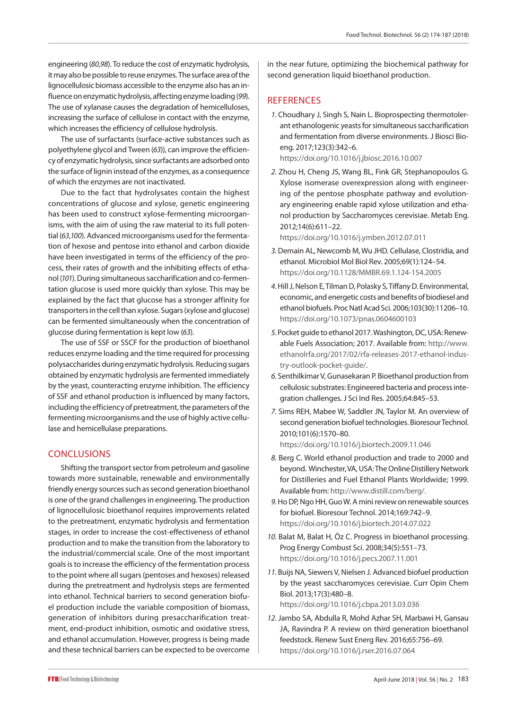engineering (*80*,*98*). To reduce the cost of enzymatic hydrolysis, it may also be possible to reuse enzymes. The surface area of the lignocellulosic biomass accessible to the enzyme also has an influence on enzymatic hydrolysis, affecting enzyme loading (*99*). The use of xylanase causes the degradation of hemicelluloses, increasing the surface of cellulose in contact with the enzyme, which increases the efficiency of cellulose hydrolysis.

The use of surfactants (surface-active substances such as polyethylene glycol and Tween (*63*)), can improve the efficiency of enzymatic hydrolysis, since surfactants are adsorbed onto the surface of lignin instead of the enzymes, as a consequence of which the enzymes are not inactivated.

Due to the fact that hydrolysates contain the highest concentrations of glucose and xylose, genetic engineering has been used to construct xylose-fermenting microorganisms, with the aim of using the raw material to its full potential (*63*,*100*). Advanced microorganisms used for the fermentation of hexose and pentose into ethanol and carbon dioxide have been investigated in terms of the efficiency of the process, their rates of growth and the inhibiting effects of ethanol (*101*). During simultaneous saccharification and co-fermentation glucose is used more quickly than xylose. This may be explained by the fact that glucose has a stronger affinity for transporters in the cell than xylose. Sugars (xylose and glucose) can be fermented simultaneously when the concentration of glucose during fermentation is kept low (*63*).

The use of SSF or SSCF for the production of bioethanol reduces enzyme loading and the time required for processing polysaccharides during enzymatic hydrolysis. Reducing sugars obtained by enzymatic hydrolysis are fermented immediately by the yeast, counteracting enzyme inhibition. The efficiency of SSF and ethanol production is influenced by many factors, including the efficiency of pretreatment, the parameters of the fermenting microorganisms and the use of highly active cellulase and hemicellulase preparations.

## **CONCLUSIONS**

Shifting the transport sector from petroleum and gasoline towards more sustainable, renewable and environmentally friendly energy sources such as second generation bioethanol is one of the grand challenges in engineering. The production of lignocellulosic bioethanol requires improvements related to the pretreatment, enzymatic hydrolysis and fermentation stages, in order to increase the cost-effectiveness of ethanol production and to make the transition from the laboratory to the industrial/commercial scale. One of the most important goals is to increase the efficiency of the fermentation process to the point where all sugars (pentoses and hexoses) released during the pretreatment and hydrolysis steps are fermented into ethanol. Technical barriers to second generation biofuel production include the variable composition of biomass, generation of inhibitors during presaccharification treatment, end-product inhibition, osmotic and oxidative stress, and ethanol accumulation. However, progress is being made and these technical barriers can be expected to be overcome

in the near future, optimizing the biochemical pathway for second generation liquid bioethanol production.

## **REFERENCES**

*1.* Choudhary J, Singh S, Nain L. Bioprospecting thermotolerant ethanologenic yeasts for simultaneous saccharification and fermentation from diverse environments. J Biosci Bioeng. 2017;123(3):342–6.

https://doi.org/10.1016/j.jbiosc.2016.10.007

*2.* Zhou H, Cheng JS, Wang BL, Fink GR, Stephanopoulos G. Xylose isomerase overexpression along with engineering of the pentose phosphate pathway and evolutionary engineering enable rapid xylose utilization and ethanol production by Saccharomyces cerevisiae. Metab Eng. 2012;14(6):611–22.

https://doi.org[/10.1016/j.ymben.2012.07.011](https://doi.org/10.1016/j.ymben.2012.07.011)

- *3.* Demain AL, Newcomb M, Wu JHD. Cellulase, Clostridia, and ethanol. Microbiol Mol Biol Rev. 2005;69(1):124–54. https://doi.org/10.1128/MMBR.69.1.124-154.2005
- *4.* Hill J, Nelson E, Tilman D, Polasky S, Tiffany D. Environmental, economic, and energetic costs and benefits of biodiesel and ethanol biofuels. Proc Natl Acad Sci. 2006;103(30):11206–10. https://doi.org/10.1073/pnas.0604600103
- *5.* Pocket guide to ethanol 2017. Washington, DC, USA: Renewable Fuels Association; 2017. Available from: [http://www.](http://www.ethanolrfa.org/2017/02/rfa-releases-2017-ethanol-industry-outlook-pocket-guide/) [ethanolrfa.org/2017/02/rfa-releases-2017-ethanol-indus](http://www.ethanolrfa.org/2017/02/rfa-releases-2017-ethanol-industry-outlook-pocket-guide/)[try-outlook-pocket-guide/](http://www.ethanolrfa.org/2017/02/rfa-releases-2017-ethanol-industry-outlook-pocket-guide/).
- *6.* Senthilkimar V, Gunasekaran P. Bioethanol production from cellulosic substrates: Engineered bacteria and process integration challenges. J Sci Ind Res. 2005;64:845–53.
- *7.* Sims REH, Mabee W, Saddler JN, Taylor M. An overview of second generation biofuel technologies. Bioresour Technol. 2010;101(6):1570–80. https://doi.org/10.1016/j.biortech.2009.11.046
- *8.* Berg C. World ethanol production and trade to 2000 and beyond. Winchester, VA, USA: The Online Distillery Network for Distilleries and Fuel Ethanol Plants Worldwide; 1999. Available from: http://www.distill.com/berg/.
- *9.* Ho DP, Ngo HH, Guo W. A mini review on renewable sources for biofuel. Bioresour Technol. 2014;169:742–9. <https://doi.org/10.1016/j.biortech.2014.07.022>
- *10.* Balat M, Balat H, Öz C. Progress in bioethanol processing. Prog Energy Combust Sci. 2008;34(5):551–73. <https://doi.org/10.1016/j.pecs.2007.11.001>
- *11.* Buijs NA, Siewers V, Nielsen J. Advanced biofuel production by the yeast saccharomyces cerevisiae. Curr Opin Chem Biol. 2013;17(3):480–8. https://doi.org/10.1016/j.cbpa.2013.03.036
- *12.* Jambo SA, Abdulla R, Mohd Azhar SH, Marbawi H, Gansau JA, Ravindra P. A review on third generation bioethanol feedstock. Renew Sust Energ Rev. 2016;65:756–69. https://doi.org/10.1016/j.rser.2016.07.064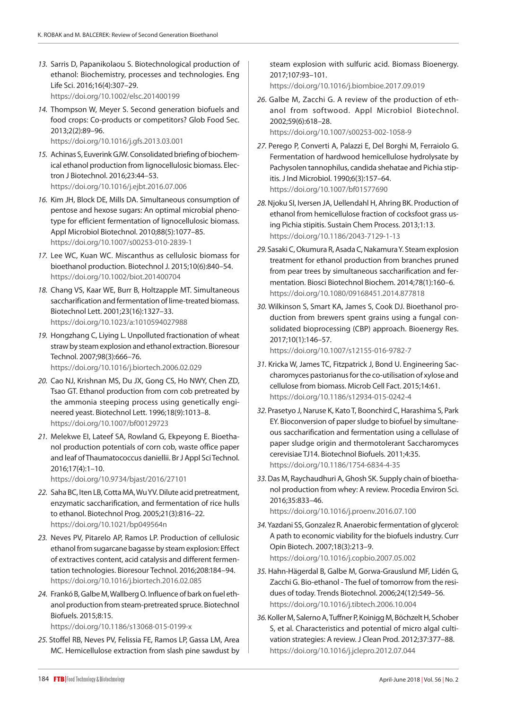- *13.* Sarris D, Papanikolaou S. Biotechnological production of ethanol: Biochemistry, processes and technologies. Eng Life Sci. 2016;16(4):307–29. https://doi.org/10.1002/elsc.201400199
- *14.* Thompson W, Meyer S. Second generation biofuels and food crops: Co-products or competitors? Glob Food Sec. 2013;2(2):89–96.

https://doi.org/10.1016/j.gfs.2013.03.001

- *15.* Achinas S, Euverink GJW. Consolidated briefing of biochemical ethanol production from lignocellulosic biomass. Electron J Biotechnol. 2016;23:44–53. https://doi.org/10.1016/j.ejbt.2016.07.006
- *16.* Kim JH, Block DE, Mills DA. Simultaneous consumption of pentose and hexose sugars: An optimal microbial phenotype for efficient fermentation of lignocellulosic biomass. Appl Microbiol Biotechnol. 2010;88(5):1077–85. https://doi.org/10.1007/s00253-010-2839-1
- *17.* Lee WC, Kuan WC. Miscanthus as cellulosic biomass for bioethanol production. Biotechnol J. 2015;10(6):840–54. <https://doi.org/10.1002/biot.201400704>
- *18.* Chang VS, Kaar WE, Burr B, Holtzapple MT. Simultaneous saccharification and fermentation of lime-treated biomass. Biotechnol Lett. 2001;23(16):1327–33. https://doi.org/10.1023/a:1010594027988
- *19.* Hongzhang C, Liying L. Unpolluted fractionation of wheat straw by steam explosion and ethanol extraction. Bioresour Technol. 2007;98(3):666–76. https://doi.org/10.1016/j.biortech.2006.02.029
- *20.* Cao NJ, Krishnan MS, Du JX, Gong CS, Ho NWY, Chen ZD, Tsao GT. Ethanol production from corn cob pretreated by the ammonia steeping process using genetically engineered yeast. Biotechnol Lett. 1996;18(9):1013–8. <https://doi.org/10.1007/bf00129723>
- *21.* Melekwe EI, Lateef SA, Rowland G, Ekpeyong E. Bioethanol production potentials of corn cob, waste office paper and leaf of Thaumatococcus daniellii. Br J Appl Sci Technol. 2016;17(4):1–10.

https://doi.org/10.9734/bjast/2016/27101

- *22.* Saha BC, Iten LB, Cotta MA, Wu YV. Dilute acid pretreatment, enzymatic saccharification, and fermentation of rice hulls to ethanol. Biotechnol Prog. 2005;21(3):816–22. https://doi.org/10.1021/bp049564n
- *23.* Neves PV, Pitarelo AP, Ramos LP. Production of cellulosic ethanol from sugarcane bagasse by steam explosion: Effect of extractives content, acid catalysis and different fermentation technologies. Bioresour Technol. 2016;208:184–94. https://doi.org/10.1016/j.biortech.2016.02.085
- *24.* Frankó B, Galbe M, Wallberg O. Influence of bark on fuel ethanol production from steam-pretreated spruce. Biotechnol Biofuels. 2015;8:15.

https://doi.org/10.1186/s13068-015-0199-x

*25.* Stoffel RB, Neves PV, Felissia FE, Ramos LP, Gassa LM, Area MC. Hemicellulose extraction from slash pine sawdust by steam explosion with sulfuric acid. Biomass Bioenergy. 2017;107:93–101.

https://doi.org/10.1016/j.biombioe.2017.09.019

- *26.* Galbe M, Zacchi G. A review of the production of ethanol from softwood. Appl Microbiol Biotechnol. 2002;59(6):618–28. https://doi.org/10.1007/s00253-002-1058-9
- *27.* Perego P, Converti A, Palazzi E, Del Borghi M, Ferraiolo G. Fermentation of hardwood hemicellulose hydrolysate by Pachysolen tannophilus, candida shehatae and Pichia stipitis. J Ind Microbiol. 1990;6(3):157–64. <https://doi.org/10.1007/bf01577690>
- *28.* Njoku SI, Iversen JA, Uellendahl H, Ahring BK. Production of ethanol from hemicellulose fraction of cocksfoot grass using Pichia stipitis. Sustain Chem Process. 2013;1:13. <https://doi.org/10.1186/2043-7129-1-13>
- *29.* Sasaki C, Okumura R, Asada C, Nakamura Y. Steam explosion treatment for ethanol production from branches pruned from pear trees by simultaneous saccharification and fermentation. Biosci Biotechnol Biochem. 2014;78(1):160–6. https://doi.org/10.1080/09168451.2014.877818
- *30.* Wilkinson S, Smart KA, James S, Cook DJ. Bioethanol production from brewers spent grains using a fungal consolidated bioprocessing (CBP) approach. Bioenergy Res. 2017;10(1):146–57.

```
https://doi.org/10.1007/s12155-016-9782-7
```
- *31.* Kricka W, James TC, Fitzpatrick J, Bond U. Engineering Saccharomyces pastorianus for the co-utilisation of xylose and cellulose from biomass. Microb Cell Fact. 2015;14:61. https://doi.org/10.1186/s12934-015-0242-4
- *32.* Prasetyo J, Naruse K, Kato T, Boonchird C, Harashima S, Park EY. Bioconversion of paper sludge to biofuel by simultaneous saccharification and fermentation using a cellulase of paper sludge origin and thermotolerant Saccharomyces cerevisiae TJ14. Biotechnol Biofuels. 2011;4:35. <https://doi.org/10.1186/1754-6834-4-35>
- *33.* Das M, Raychaudhuri A, Ghosh SK. Supply chain of bioethanol production from whey: A review. Procedia Environ Sci. 2016;35:833–46. <https://doi.org/10.1016/j.proenv.2016.07.100>
- *34.* Yazdani SS, Gonzalez R. Anaerobic fermentation of glycerol: A path to economic viability for the biofuels industry. Curr Opin Biotech. 2007;18(3):213–9. <https://doi.org/10.1016/j.copbio.2007.05.002>
- *35.* Hahn-Hägerdal B, Galbe M, Gorwa-Grauslund MF, Lidén G, Zacchi G. Bio-ethanol - The fuel of tomorrow from the residues of today. Trends Biotechnol. 2006;24(12):549–56. https://doi.org/10.1016/j.tibtech.2006.10.004
- *36.* Koller M, Salerno A, Tuffner P, Koinigg M, Böchzelt H, Schober S, et al. Characteristics and potential of micro algal cultivation strategies: A review. J Clean Prod. 2012;37:377–88. <https://doi.org/10.1016/j.jclepro.2012.07.044>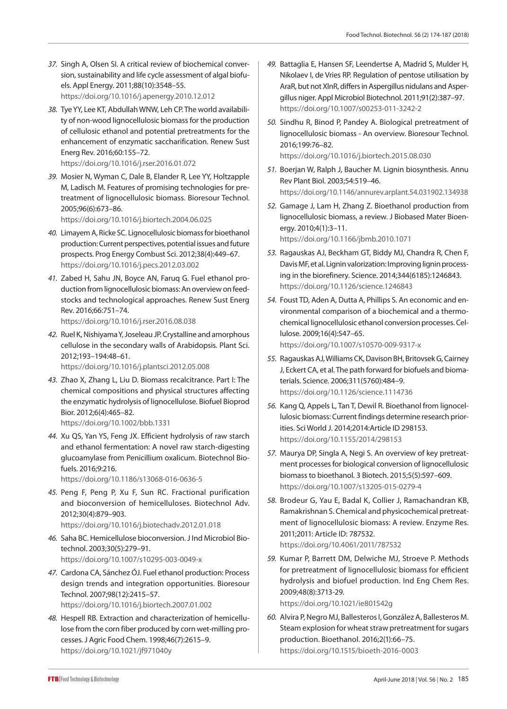- *37.* Singh A, Olsen SI. A critical review of biochemical conversion, sustainability and life cycle assessment of algal biofuels. Appl Energy. 2011;88(10):3548–55. https://doi.org/10.1016/j.apenergy.2010.12.012
- *38.* Tye YY, Lee KT, Abdullah WNW, Leh CP. The world availability of non-wood lignocellulosic biomass for the production of cellulosic ethanol and potential pretreatments for the enhancement of enzymatic saccharification. Renew Sust Energ Rev. 2016;60:155–72. https://doi.org/10.1016/j.rser.2016.01.072
- *39.* Mosier N, Wyman C, Dale B, Elander R, Lee YY, Holtzapple M, Ladisch M. Features of promising technologies for pretreatment of lignocellulosic biomass. Bioresour Technol. 2005;96(6):673–86.

https://doi.org/10.1016/j.biortech.2004.06.025

- *40.* Limayem A, Ricke SC. Lignocellulosic biomass for bioethanol production: Current perspectives, potential issues and future prospects. Prog Energy Combust Sci. 2012;38(4):449–67. https://doi.org/10.1016/j.pecs.2012.03.002
- *41.* Zabed H, Sahu JN, Boyce AN, Faruq G. Fuel ethanol production from lignocellulosic biomass: An overview on feedstocks and technological approaches. Renew Sust Energ Rev. 2016;66:751–74. https://doi.org/10.1016/j.rser.2016.08.038

*42.* Ruel K, Nishiyama Y, Joseleau JP. Crystalline and amorphous cellulose in the secondary walls of Arabidopsis. Plant Sci.

2012;193–194:48–61. https://doi.org/10.1016/j.plantsci.2012.05.008

- *43.* Zhao X, Zhang L, Liu D. Biomass recalcitrance. Part I: The chemical compositions and physical structures affecting the enzymatic hydrolysis of lignocellulose. Biofuel Bioprod Bior. 2012;6(4):465–82. https://doi.org/10.1002/bbb.1331
- *44.* Xu QS, Yan YS, Feng JX. Efficient hydrolysis of raw starch and ethanol fermentation: A novel raw starch-digesting glucoamylase from Penicillium oxalicum. Biotechnol Biofuels. 2016;9:216.

https://doi.org/10.1186/s13068-016-0636-5

- *45.* Peng F, Peng P, Xu F, Sun RC. Fractional purification and bioconversion of hemicelluloses. Biotechnol Adv. 2012;30(4):879–903. https://doi.org/10.1016/j.biotechadv.2012.01.018
- *46.* Saha BC. Hemicellulose bioconversion. J Ind Microbiol Biotechnol. 2003;30(5):279–91. https://doi.org/10.1007/s10295-003-0049-x
- *47.* Cardona CA, Sánchez ÓJ. Fuel ethanol production: Process design trends and integration opportunities. Bioresour Technol. 2007;98(12):2415–57. <https://doi.org/10.1016/j.biortech.2007.01.002>
- *48.* Hespell RB. Extraction and characterization of hemicellulose from the corn fiber produced by corn wet-milling processes. J Agric Food Chem. 1998;46(7):2615–9. https://doi.org/10.1021/jf971040y
- *49.* Battaglia E, Hansen SF, Leendertse A, Madrid S, Mulder H, Nikolaev I, de Vries RP. Regulation of pentose utilisation by AraR, but not XlnR, differs in Aspergillus nidulans and Aspergillus niger. Appl Microbiol Biotechnol. 2011;91(2):387–97. https://doi.org/10.1007/s00253-011-3242-2
- *50.* Sindhu R, Binod P, Pandey A. Biological pretreatment of lignocellulosic biomass - An overview. Bioresour Technol. 2016;199:76–82. https://doi.org/10.1016/j.biortech.2015.08.030
- *51.* Boerjan W, Ralph J, Baucher M. Lignin biosynthesis. Annu Rev Plant Biol. 2003;54:519–46. <https://doi.org/10.1146/annurev.arplant.54.031902.134938>
- *52.* Gamage J, Lam H, Zhang Z. Bioethanol production from lignocellulosic biomass, a review. J Biobased Mater Bioenergy. 2010;4(1):3–11. <https://doi.org/10.1166/jbmb.2010.1071>
- *53.* Ragauskas AJ, Beckham GT, Biddy MJ, Chandra R, Chen F, Davis MF, et al. Lignin valorization: Improving lignin processing in the biorefinery. Science. 2014;344(6185):1246843. <https://doi.org/10.1126/science.1246843>
- *54.* Foust TD, Aden A, Dutta A, Phillips S. An economic and environmental comparison of a biochemical and a thermochemical lignocellulosic ethanol conversion processes. Cellulose. 2009;16(4):547–65. https://doi.org/10.1007/s10570-009-9317-x
- *55.* Ragauskas AJ, Williams CK, Davison BH, Britovsek G, Cairney J, Eckert CA, et al. The path forward for biofuels and biomaterials. Science. 2006;311(5760):484–9. https://doi.org/10.1126/science.1114736
- *56.* Kang Q, Appels L, Tan T, Dewil R. Bioethanol from lignocellulosic biomass: Current findings determine research priorities. Sci World J. 2014;2014:Article ID 298153. https://doi.org/10.1155/2014/298153
- *57.* Maurya DP, Singla A, Negi S. An overview of key pretreatment processes for biological conversion of lignocellulosic biomass to bioethanol. 3 Biotech. 2015;5(5):597–609. <https://doi.org/10.1007/s13205-015-0279-4>
- *58.* Brodeur G, Yau E, Badal K, Collier J, Ramachandran KB, Ramakrishnan S. Chemical and physicochemical pretreatment of lignocellulosic biomass: A review. Enzyme Res. 2011;2011: Article ID: 787532. https://doi.org/10.4061/2011/787532
- *59.* Kumar P, Barrett DM, Delwiche MJ, Stroeve P. Methods for pretreatment of lignocellulosic biomass for efficient hydrolysis and biofuel production. Ind Eng Chem Res. 2009;48(8):3713-29. <https://doi.org/10.1021/ie801542g>
- *60.* Alvira P, Negro MJ, Ballesteros I, González A, Ballesteros M. Steam explosion for wheat straw pretreatment for sugars production. Bioethanol. 2016;2(1):66–75. https://doi.org/10.1515/bioeth-2016-0003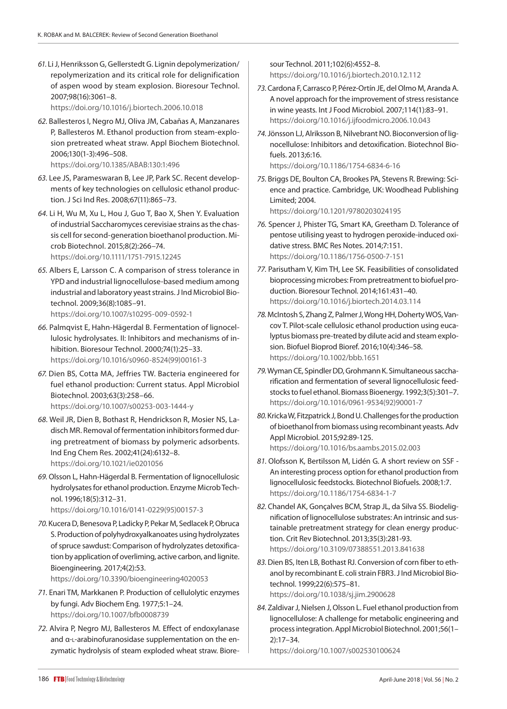*61.* Li J, Henriksson G, Gellerstedt G. Lignin depolymerization/ repolymerization and its critical role for delignification of aspen wood by steam explosion. Bioresour Technol. 2007;98(16):3061–8.

<https://doi.org/10.1016/j.biortech.2006.10.018>

- *62.* Ballesteros I, Negro MJ, Oliva JM, Cabañas A, Manzanares P, Ballesteros M. Ethanol production from steam-explosion pretreated wheat straw. Appl Biochem Biotechnol. 2006;130(1-3):496–508. https://doi.org/10.1385/ABAB:130:1:496
- *63.* Lee JS, Parameswaran B, Lee JP, Park SC. Recent developments of key technologies on cellulosic ethanol production. J Sci Ind Res. 2008;67(11):865–73.
- *64.* Li H, Wu M, Xu L, Hou J, Guo T, Bao X, Shen Y. Evaluation of industrial Saccharomyces cerevisiae strains as the chassis cell for second-generation bioethanol production. Microb Biotechnol. 2015;8(2):266–74. https://doi.org/10.1111/1751-7915.12245
- *65.* Albers E, Larsson C. A comparison of stress tolerance in YPD and industrial lignocellulose-based medium among industrial and laboratory yeast strains. J Ind Microbiol Biotechnol. 2009;36(8):1085–91. https://doi.org/10.1007/s10295-009-0592-1
- *66.* Palmqvist E, Hahn-Hägerdal B. Fermentation of lignocellulosic hydrolysates. II: Inhibitors and mechanisms of inhibition. Bioresour Technol. 2000;74(1):25–33. [https://doi.org/10.1016/s0960-8524\(99\)00161-3](https://doi.org/10.1016/s0960-8524(99)00161-3)
- *67.* Dien BS, Cotta MA, Jeffries TW. Bacteria engineered for fuel ethanol production: Current status. Appl Microbiol Biotechnol. 2003;63(3):258–66. https://doi.org/10.1007/s00253-003-1444-y
- *68.* Weil JR, Dien B, Bothast R, Hendrickson R, Mosier NS, Ladisch MR. Removal of fermentation inhibitors formed during pretreatment of biomass by polymeric adsorbents. Ind Eng Chem Res. 2002;41(24):6132–8. <https://doi.org/10.1021/ie0201056>
- *69.* Olsson L, Hahn-Hägerdal B. Fermentation of lignocellulosic hydrolysates for ethanol production. Enzyme Microb Technol. 1996;18(5):312–31.

[https://doi.org/10.1016/0141-0229\(95\)00157-3](https://doi.org/10.1016/0141-0229(95)00157-3)

*70.* Kucera D, Benesova P, Ladicky P, Pekar M, Sedlacek P, Obruca S. Production of polyhydroxyalkanoates using hydrolyzates of spruce sawdust: Comparison of hydrolyzates detoxification by application of overliming, active carbon, and lignite. Bioengineering. 2017;4(2):53.

<https://doi.org/10.3390/bioengineering4020053>

- *71.* Enari TM, Markkanen P. Production of cellulolytic enzymes by fungi. Adv Biochem Eng. 1977;5:1–24. <https://doi.org/10.1007/bfb0008739>
- *72.* Alvira P, Negro MJ, Ballesteros M. Effect of endoxylanase and α-l-arabinofuranosidase supplementation on the enzymatic hydrolysis of steam exploded wheat straw. Biore-

sour Technol. 2011;102(6):4552–8. https://doi.org/10.1016/j.biortech.2010.12.112

- *73.* Cardona F, Carrasco P, Pérez-Ortín JE, del Olmo M, Aranda A. A novel approach for the improvement of stress resistance in wine yeasts. Int J Food Microbiol. 2007;114(1):83–91. https://doi.org/10.1016/j.ijfoodmicro.2006.10.043
- *74.* Jönsson LJ, Alriksson B, Nilvebrant NO. Bioconversion of lignocellulose: Inhibitors and detoxification. Biotechnol Biofuels. 2013;6:16.

[https://doi.org/10.1](https://doi.org/10.1201/b18537-7)186/1754-6834-6-16

*75.* Briggs DE, Boulton CA, Brookes PA, Stevens R. Brewing: Science and practice. Cambridge, UK: Woodhead Publishing Limited; 2004.

<https://doi.org/10.1201/9780203024195>

- *76.* Spencer J, Phister TG, Smart KA, Greetham D. Tolerance of pentose utilising yeast to hydrogen peroxide-induced oxidative stress. BMC Res Notes. 2014;7:151. https://doi.org/10.1186/1756-0500-7-151
- *77.* Parisutham V, Kim TH, Lee SK. Feasibilities of consolidated bioprocessing microbes: From pretreatment to biofuel production. Bioresour Technol. 2014;161:431–40. <https://doi.org/10.1016/j.biortech.2014.03.114>
- *78.* McIntosh S, Zhang Z, Palmer J, Wong HH, Doherty WOS, Vancov T. Pilot-scale cellulosic ethanol production using eucalyptus biomass pre-treated by dilute acid and steam explosion. Biofuel Bioprod Bioref. 2016;10(4):346–58. <https://doi.org/10.1002/bbb.1651>
- *79.* Wyman CE, Spindler DD, Grohmann K. Simultaneous saccharification and fermentation of several lignocellulosic feedstocks to fuel ethanol. Biomass Bioenergy. 1992;3(5):301–7. [https://doi.org/10.1016/0961-9534\(92\)90001-7](https://doi.org/10.1016/0961-9534(92)90001-7)
- *80.* Kricka W, Fitzpatrick J, Bond U. Challenges for the production of bioethanol from biomass using recombinant yeasts. Adv Appl Microbiol. 2015;92:89-125. <https://doi.org/10.1016/bs.aambs.2015.02.003>
- *81.* Olofsson K, Bertilsson M, Lidén G. A short review on SSF An interesting process option for ethanol production from lignocellulosic feedstocks. Biotechnol Biofuels. 2008;1:7. <https://doi.org/10.1186/1754-6834-1-7>
- *82.* Chandel AK, Gonçalves BCM, Strap JL, da Silva SS. Biodelignification of lignocellulose substrates: An intrinsic and sustainable pretreatment strategy for clean energy production. Crit Rev Biotechnol. 2013;35(3):281-93. <https://doi.org/10.3109/07388551.2013.841638>
- *83.* Dien BS, Iten LB, Bothast RJ. Conversion of corn fiber to ethanol by recombinant E. coli strain FBR3. J Ind Microbiol Biotechnol. 1999;22(6):575–81. <https://doi.org/10.1038/sj.jim.2900628>
- *84.* Zaldivar J, Nielsen J, Olsson L. Fuel ethanol production from lignocellulose: A challenge for metabolic engineering and process integration. Appl Microbiol Biotechnol. 2001;56(1– 2):17–34.

<https://doi.org/10.1007/s002530100624>